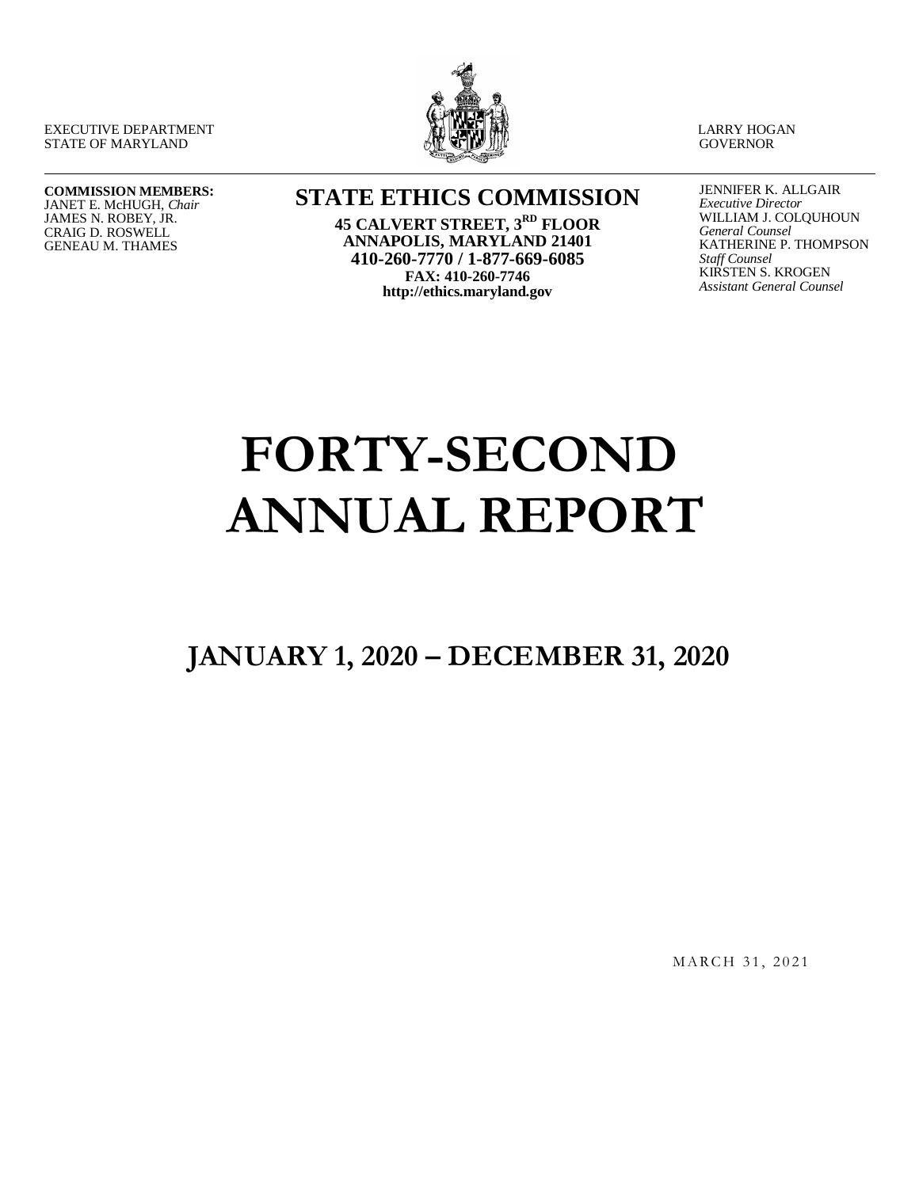EXECUTIVE DEPARTMENT STATE OF MARYLAND



LARRY HOGAN **GOVERNOR** 

#### **COMMISSION MEMBERS:** JANET E. McHUGH, *Chair* JAMES N. ROBEY, JR. CRAIG D. ROSWELL GENEAU M. THAMES

**STATE ETHICS COMMISSION**

**45 CALVERT STREET, 3RD FLOOR ANNAPOLIS, MARYLAND 21401 410-260-7770 / 1-877-669-6085 FAX: 410-260-7746 http://ethics.maryland.gov**

JENNIFER K. ALLGAIR *Executive Director* WILLIAM J. COLQUHOUN *General Counsel* KATHERINE P. THOMPSON *Staff Counsel* KIRSTEN S. KROGEN *Assistant General Counsel*

# **FORTY-SECOND ANNUAL REPORT**

**JANUARY 1, 2020 – DECEMBER 31, 2020**

MARCH 31, 2021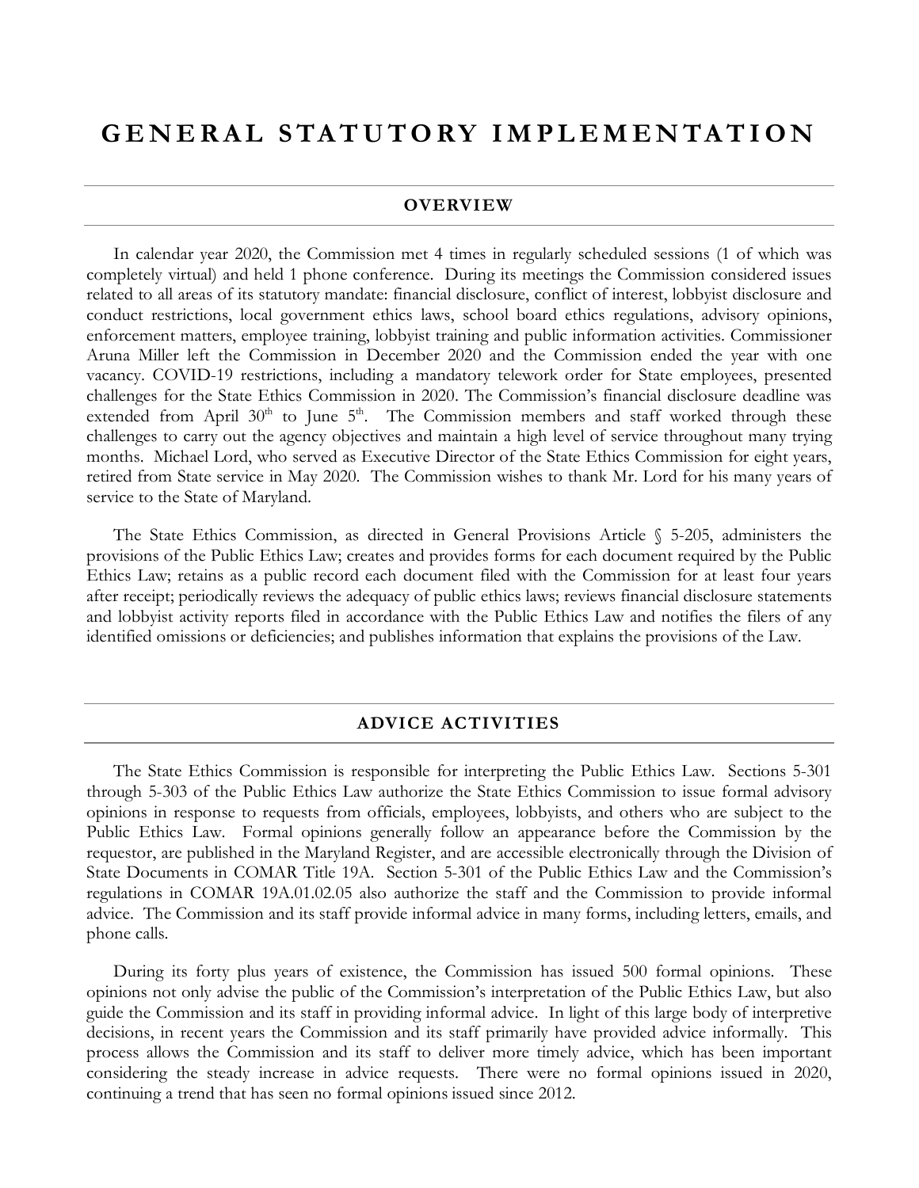## **GENERAL STATUTORY IM PLEMENTATION**

#### **OVERVIEW**

In calendar year 2020, the Commission met 4 times in regularly scheduled sessions (1 of which was completely virtual) and held 1 phone conference. During its meetings the Commission considered issues related to all areas of its statutory mandate: financial disclosure, conflict of interest, lobbyist disclosure and conduct restrictions, local government ethics laws, school board ethics regulations, advisory opinions, enforcement matters, employee training, lobbyist training and public information activities. Commissioner Aruna Miller left the Commission in December 2020 and the Commission ended the year with one vacancy. COVID-19 restrictions, including a mandatory telework order for State employees, presented challenges for the State Ethics Commission in 2020. The Commission's financial disclosure deadline was extended from April  $30<sup>th</sup>$  to June  $5<sup>th</sup>$ . The Commission members and staff worked through these challenges to carry out the agency objectives and maintain a high level of service throughout many trying months.Michael Lord, who served as Executive Director of the State Ethics Commission for eight years, retired from State service in May 2020. The Commission wishes to thank Mr. Lord for his many years of service to the State of Maryland.

The State Ethics Commission, as directed in General Provisions Article § 5-205, administers the provisions of the Public Ethics Law; creates and provides forms for each document required by the Public Ethics Law; retains as a public record each document filed with the Commission for at least four years after receipt; periodically reviews the adequacy of public ethics laws; reviews financial disclosure statements and lobbyist activity reports filed in accordance with the Public Ethics Law and notifies the filers of any identified omissions or deficiencies; and publishes information that explains the provisions of the Law.

#### **ADVICE ACTIVITIES**

The State Ethics Commission is responsible for interpreting the Public Ethics Law. Sections 5-301 through 5-303 of the Public Ethics Law authorize the State Ethics Commission to issue formal advisory opinions in response to requests from officials, employees, lobbyists, and others who are subject to the Public Ethics Law. Formal opinions generally follow an appearance before the Commission by the requestor, are published in the Maryland Register, and are accessible electronically through the Division of State Documents in COMAR Title 19A. Section 5-301 of the Public Ethics Law and the Commission's regulations in COMAR 19A.01.02.05 also authorize the staff and the Commission to provide informal advice. The Commission and its staff provide informal advice in many forms, including letters, emails, and phone calls.

During its forty plus years of existence, the Commission has issued 500 formal opinions. These opinions not only advise the public of the Commission's interpretation of the Public Ethics Law, but also guide the Commission and its staff in providing informal advice. In light of this large body of interpretive decisions, in recent years the Commission and its staff primarily have provided advice informally. This process allows the Commission and its staff to deliver more timely advice, which has been important considering the steady increase in advice requests. There were no formal opinions issued in 2020, continuing a trend that has seen no formal opinions issued since 2012.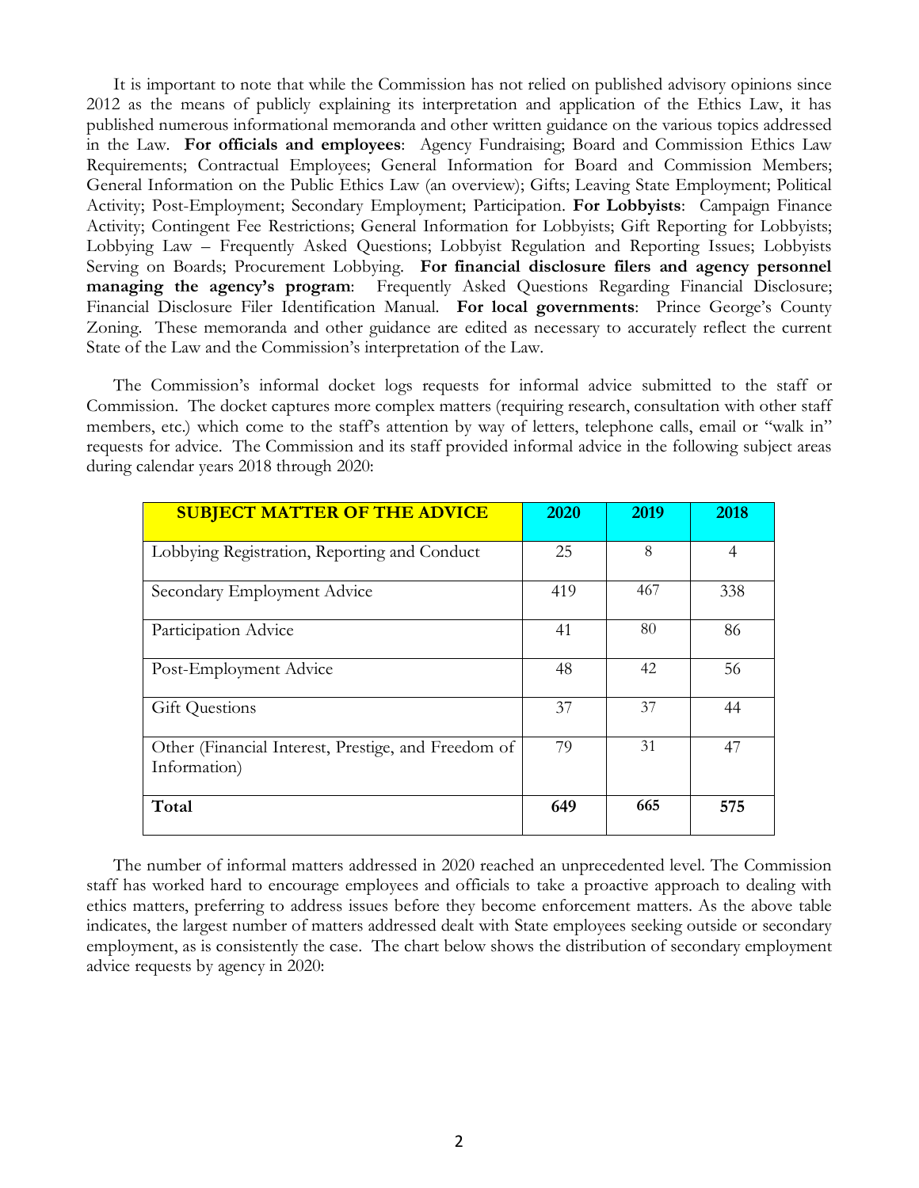It is important to note that while the Commission has not relied on published advisory opinions since 2012 as the means of publicly explaining its interpretation and application of the Ethics Law, it has published numerous informational memoranda and other written guidance on the various topics addressed in the Law. **For officials and employees**: Agency Fundraising; Board and Commission Ethics Law Requirements; Contractual Employees; General Information for Board and Commission Members; General Information on the Public Ethics Law (an overview); Gifts; Leaving State Employment; Political Activity; Post-Employment; Secondary Employment; Participation. **For Lobbyists**: Campaign Finance Activity; Contingent Fee Restrictions; General Information for Lobbyists; Gift Reporting for Lobbyists; Lobbying Law – Frequently Asked Questions; Lobbyist Regulation and Reporting Issues; Lobbyists Serving on Boards; Procurement Lobbying. **For financial disclosure filers and agency personnel managing the agency's program**: Frequently Asked Questions Regarding Financial Disclosure; Financial Disclosure Filer Identification Manual. **For local governments**: Prince George's County Zoning. These memoranda and other guidance are edited as necessary to accurately reflect the current State of the Law and the Commission's interpretation of the Law.

The Commission's informal docket logs requests for informal advice submitted to the staff or Commission. The docket captures more complex matters (requiring research, consultation with other staff members, etc.) which come to the staff's attention by way of letters, telephone calls, email or "walk in" requests for advice. The Commission and its staff provided informal advice in the following subject areas during calendar years 2018 through 2020:

| <b>SUBJECT MATTER OF THE ADVICE</b>                                 | 2020 | 2019 | 2018           |
|---------------------------------------------------------------------|------|------|----------------|
| Lobbying Registration, Reporting and Conduct                        | 25   | 8    | $\overline{4}$ |
| Secondary Employment Advice                                         | 419  | 467  | 338            |
| Participation Advice                                                | 41   | 80   | 86             |
| Post-Employment Advice                                              | 48   | 42   | 56             |
| <b>Gift Questions</b>                                               | 37   | 37   | 44             |
| Other (Financial Interest, Prestige, and Freedom of<br>Information) | 79   | 31   | 47             |
| Total                                                               | 649  | 665  | 575            |

The number of informal matters addressed in 2020 reached an unprecedented level. The Commission staff has worked hard to encourage employees and officials to take a proactive approach to dealing with ethics matters, preferring to address issues before they become enforcement matters. As the above table indicates, the largest number of matters addressed dealt with State employees seeking outside or secondary employment, as is consistently the case. The chart below shows the distribution of secondary employment advice requests by agency in 2020: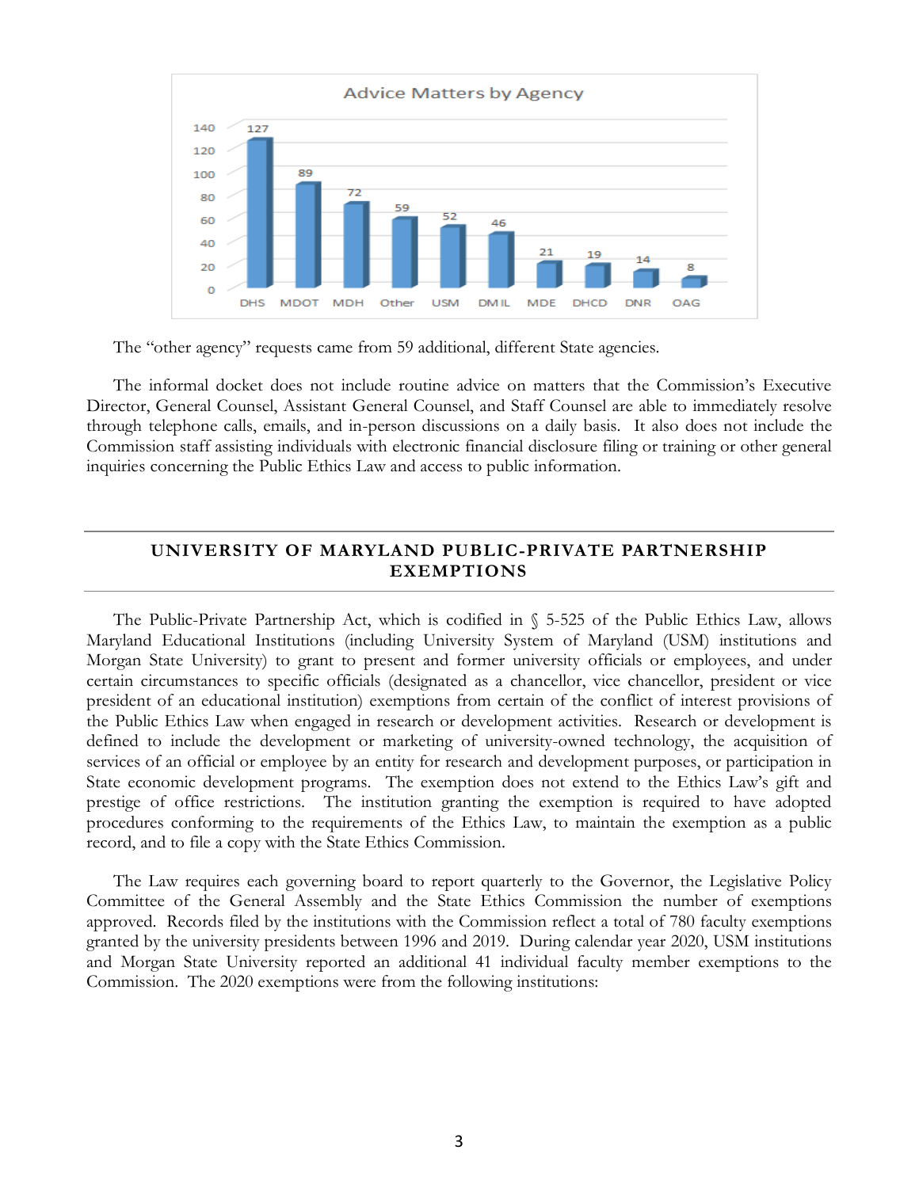

The "other agency" requests came from 59 additional, different State agencies.

The informal docket does not include routine advice on matters that the Commission's Executive Director, General Counsel, Assistant General Counsel, and Staff Counsel are able to immediately resolve through telephone calls, emails, and in-person discussions on a daily basis. It also does not include the Commission staff assisting individuals with electronic financial disclosure filing or training or other general inquiries concerning the Public Ethics Law and access to public information.

#### **UNIVERSITY OF MARYLAND PUBLIC-PRIVATE PARTNERSHIP EXEMPTIONS**

The Public-Private Partnership Act, which is codified in § 5-525 of the Public Ethics Law, allows Maryland Educational Institutions (including University System of Maryland (USM) institutions and Morgan State University) to grant to present and former university officials or employees, and under certain circumstances to specific officials (designated as a chancellor, vice chancellor, president or vice president of an educational institution) exemptions from certain of the conflict of interest provisions of the Public Ethics Law when engaged in research or development activities. Research or development is defined to include the development or marketing of university-owned technology, the acquisition of services of an official or employee by an entity for research and development purposes, or participation in State economic development programs. The exemption does not extend to the Ethics Law's gift and prestige of office restrictions. The institution granting the exemption is required to have adopted procedures conforming to the requirements of the Ethics Law, to maintain the exemption as a public record, and to file a copy with the State Ethics Commission.

The Law requires each governing board to report quarterly to the Governor, the Legislative Policy Committee of the General Assembly and the State Ethics Commission the number of exemptions approved. Records filed by the institutions with the Commission reflect a total of 780 faculty exemptions granted by the university presidents between 1996 and 2019. During calendar year 2020, USM institutions and Morgan State University reported an additional 41 individual faculty member exemptions to the Commission. The 2020 exemptions were from the following institutions: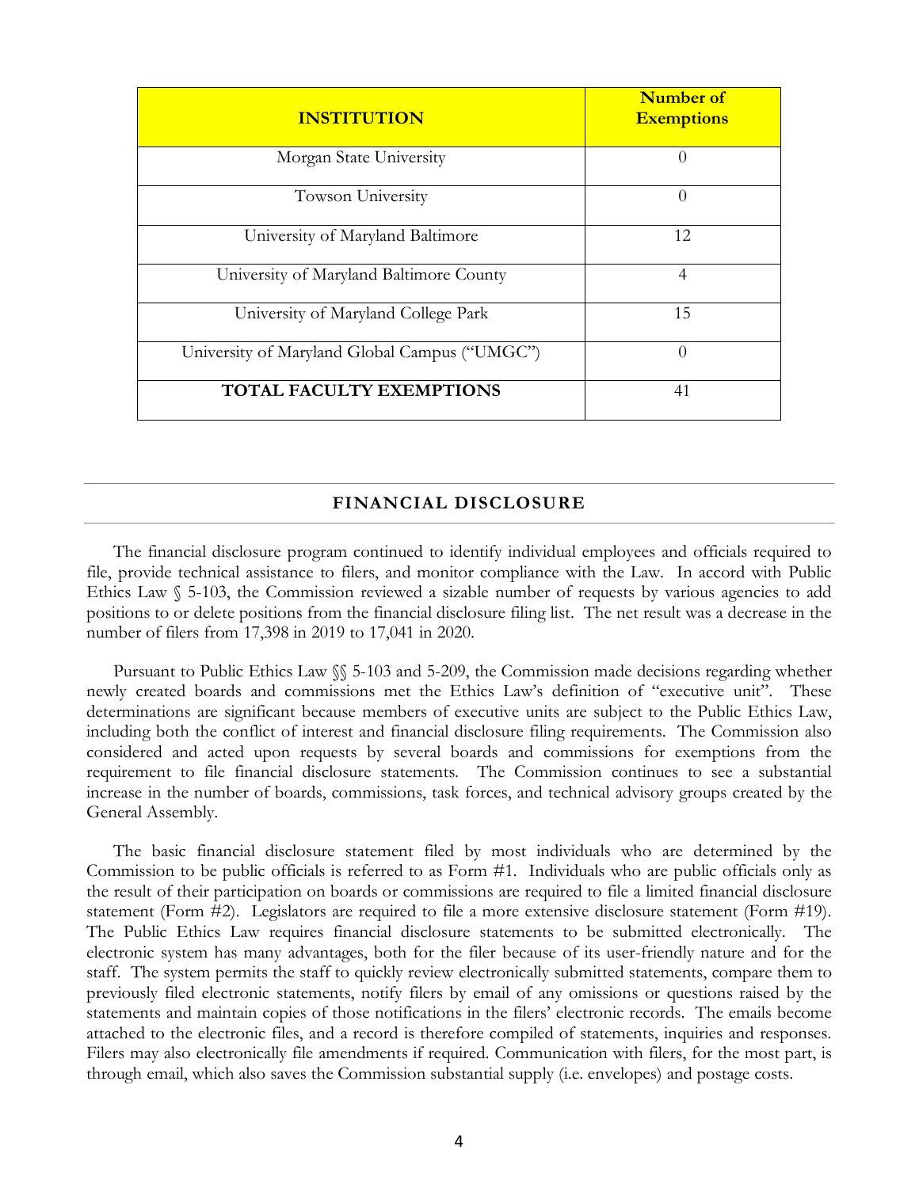| <b>INSTITUTION</b>                            | <b>Number of</b><br><b>Exemptions</b> |
|-----------------------------------------------|---------------------------------------|
| Morgan State University                       | $\Omega$                              |
| Towson University                             | $\Omega$                              |
| University of Maryland Baltimore              | 12                                    |
| University of Maryland Baltimore County       | $\overline{4}$                        |
| University of Maryland College Park           | 15                                    |
| University of Maryland Global Campus ("UMGC") | $\Omega$                              |
| <b>TOTAL FACULTY EXEMPTIONS</b>               | 41                                    |

#### **FINANCIAL DISCLOSURE**

The financial disclosure program continued to identify individual employees and officials required to file, provide technical assistance to filers, and monitor compliance with the Law. In accord with Public Ethics Law  $\S$  5-103, the Commission reviewed a sizable number of requests by various agencies to add positions to or delete positions from the financial disclosure filing list. The net result was a decrease in the number of filers from 17,398 in 2019 to 17,041 in 2020.

Pursuant to Public Ethics Law §§ 5-103 and 5-209, the Commission made decisions regarding whether newly created boards and commissions met the Ethics Law's definition of "executive unit". These determinations are significant because members of executive units are subject to the Public Ethics Law, including both the conflict of interest and financial disclosure filing requirements. The Commission also considered and acted upon requests by several boards and commissions for exemptions from the requirement to file financial disclosure statements. The Commission continues to see a substantial increase in the number of boards, commissions, task forces, and technical advisory groups created by the General Assembly.

The basic financial disclosure statement filed by most individuals who are determined by the Commission to be public officials is referred to as Form #1. Individuals who are public officials only as the result of their participation on boards or commissions are required to file a limited financial disclosure statement (Form #2). Legislators are required to file a more extensive disclosure statement (Form #19). The Public Ethics Law requires financial disclosure statements to be submitted electronically. The electronic system has many advantages, both for the filer because of its user-friendly nature and for the staff. The system permits the staff to quickly review electronically submitted statements, compare them to previously filed electronic statements, notify filers by email of any omissions or questions raised by the statements and maintain copies of those notifications in the filers' electronic records. The emails become attached to the electronic files, and a record is therefore compiled of statements, inquiries and responses. Filers may also electronically file amendments if required. Communication with filers, for the most part, is through email, which also saves the Commission substantial supply (i.e. envelopes) and postage costs.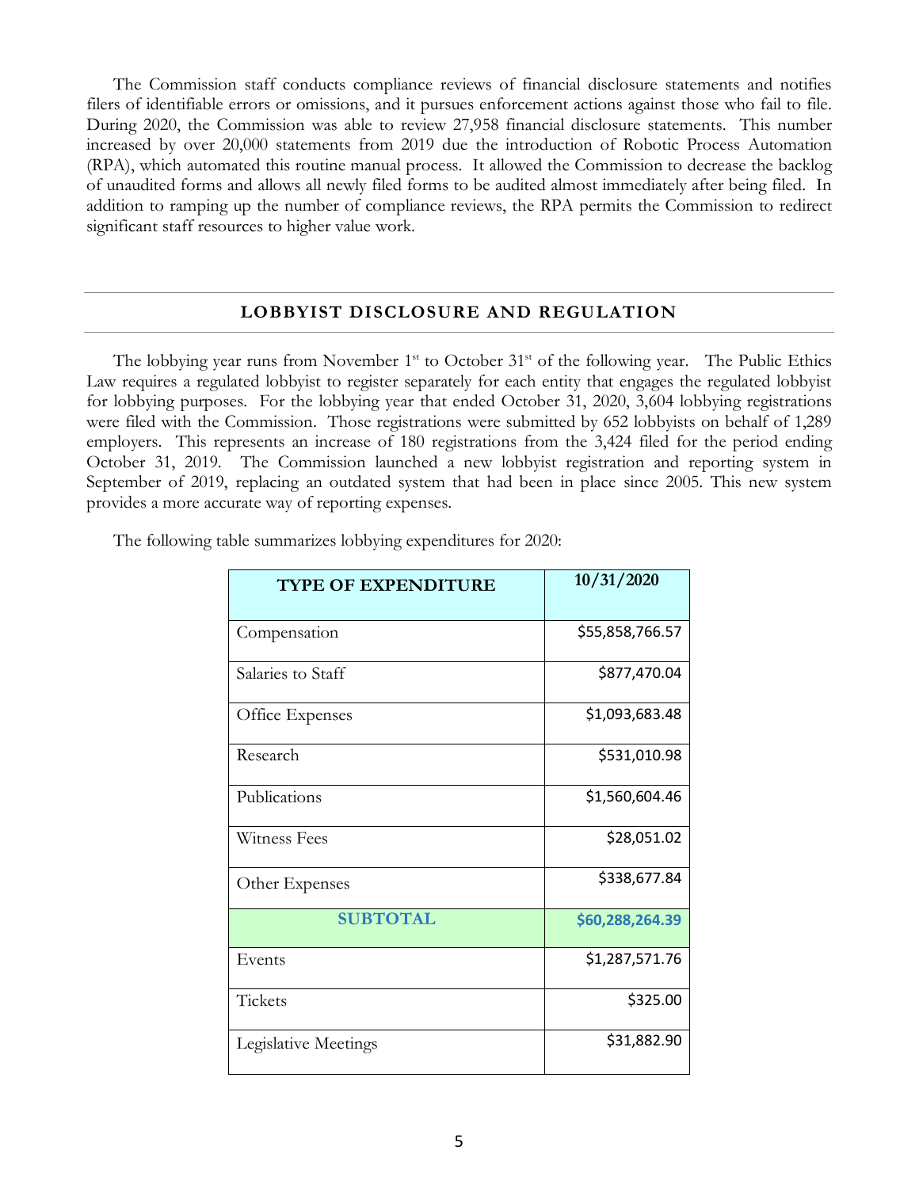The Commission staff conducts compliance reviews of financial disclosure statements and notifies filers of identifiable errors or omissions, and it pursues enforcement actions against those who fail to file. During 2020, the Commission was able to review 27,958 financial disclosure statements. This number increased by over 20,000 statements from 2019 due the introduction of Robotic Process Automation (RPA), which automated this routine manual process. It allowed the Commission to decrease the backlog of unaudited forms and allows all newly filed forms to be audited almost immediately after being filed. In addition to ramping up the number of compliance reviews, the RPA permits the Commission to redirect significant staff resources to higher value work.

#### **LOBBYIST DISCLOSURE AND REGULATION**

The lobbying year runs from November  $1<sup>st</sup>$  to October  $31<sup>st</sup>$  of the following year. The Public Ethics Law requires a regulated lobbyist to register separately for each entity that engages the regulated lobbyist for lobbying purposes. For the lobbying year that ended October 31, 2020, 3,604 lobbying registrations were filed with the Commission. Those registrations were submitted by 652 lobbyists on behalf of 1,289 employers. This represents an increase of 180 registrations from the 3,424 filed for the period ending October 31, 2019. The Commission launched a new lobbyist registration and reporting system in September of 2019, replacing an outdated system that had been in place since 2005. This new system provides a more accurate way of reporting expenses.

| <b>TYPE OF EXPENDITURE</b> | 10/31/2020      |
|----------------------------|-----------------|
| Compensation               | \$55,858,766.57 |
| Salaries to Staff          | \$877,470.04    |
| Office Expenses            | \$1,093,683.48  |
| Research                   | \$531,010.98    |
| Publications               | \$1,560,604.46  |
| Witness Fees               | \$28,051.02     |
| Other Expenses             | \$338,677.84    |
| <b>SUBTOTAL</b>            | \$60,288,264.39 |
| Events                     | \$1,287,571.76  |
| Tickets                    | \$325.00        |
| Legislative Meetings       | \$31,882.90     |

The following table summarizes lobbying expenditures for 2020: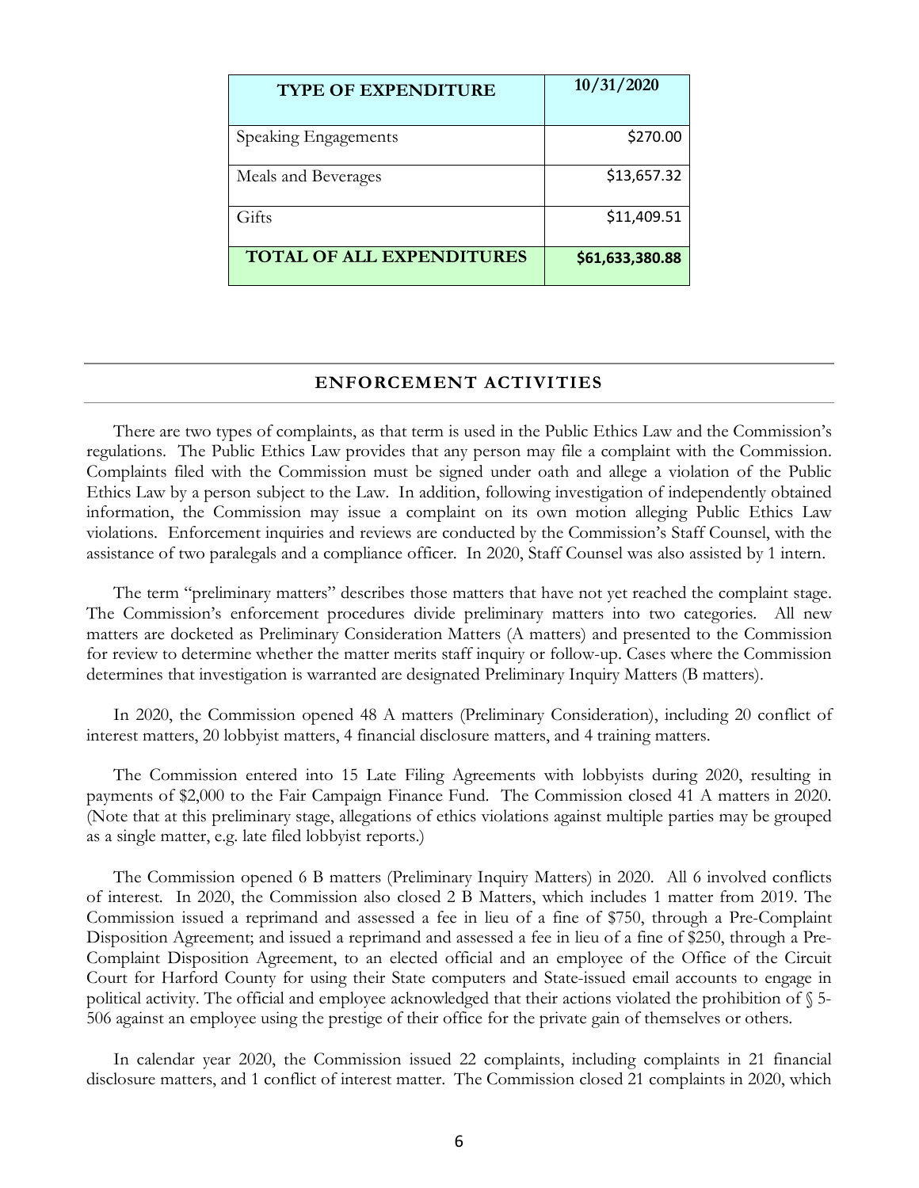| <b>TYPE OF EXPENDITURE</b>       | 10/31/2020      |
|----------------------------------|-----------------|
| Speaking Engagements             | \$270.00        |
| Meals and Beverages              | \$13,657.32     |
| Gifts                            | \$11,409.51     |
| <b>TOTAL OF ALL EXPENDITURES</b> | \$61,633,380.88 |

#### **ENFORCEMENT ACTIVITIES**

There are two types of complaints, as that term is used in the Public Ethics Law and the Commission's regulations. The Public Ethics Law provides that any person may file a complaint with the Commission. Complaints filed with the Commission must be signed under oath and allege a violation of the Public Ethics Law by a person subject to the Law. In addition, following investigation of independently obtained information, the Commission may issue a complaint on its own motion alleging Public Ethics Law violations. Enforcement inquiries and reviews are conducted by the Commission's Staff Counsel, with the assistance of two paralegals and a compliance officer. In 2020, Staff Counsel was also assisted by 1 intern.

The term "preliminary matters" describes those matters that have not yet reached the complaint stage. The Commission's enforcement procedures divide preliminary matters into two categories. All new matters are docketed as Preliminary Consideration Matters (A matters) and presented to the Commission for review to determine whether the matter merits staff inquiry or follow-up. Cases where the Commission determines that investigation is warranted are designated Preliminary Inquiry Matters (B matters).

In 2020, the Commission opened 48 A matters (Preliminary Consideration), including 20 conflict of interest matters, 20 lobbyist matters, 4 financial disclosure matters, and 4 training matters.

The Commission entered into 15 Late Filing Agreements with lobbyists during 2020, resulting in payments of \$2,000 to the Fair Campaign Finance Fund. The Commission closed 41 A matters in 2020. (Note that at this preliminary stage, allegations of ethics violations against multiple parties may be grouped as a single matter, e.g. late filed lobbyist reports.)

The Commission opened 6 B matters (Preliminary Inquiry Matters) in 2020. All 6 involved conflicts of interest. In 2020, the Commission also closed 2 B Matters, which includes 1 matter from 2019. The Commission issued a reprimand and assessed a fee in lieu of a fine of \$750, through a Pre-Complaint Disposition Agreement; and issued a reprimand and assessed a fee in lieu of a fine of \$250, through a Pre-Complaint Disposition Agreement, to an elected official and an employee of the Office of the Circuit Court for Harford County for using their State computers and State-issued email accounts to engage in political activity. The official and employee acknowledged that their actions violated the prohibition of § 5- 506 against an employee using the prestige of their office for the private gain of themselves or others.

In calendar year 2020, the Commission issued 22 complaints, including complaints in 21 financial disclosure matters, and 1 conflict of interest matter. The Commission closed 21 complaints in 2020, which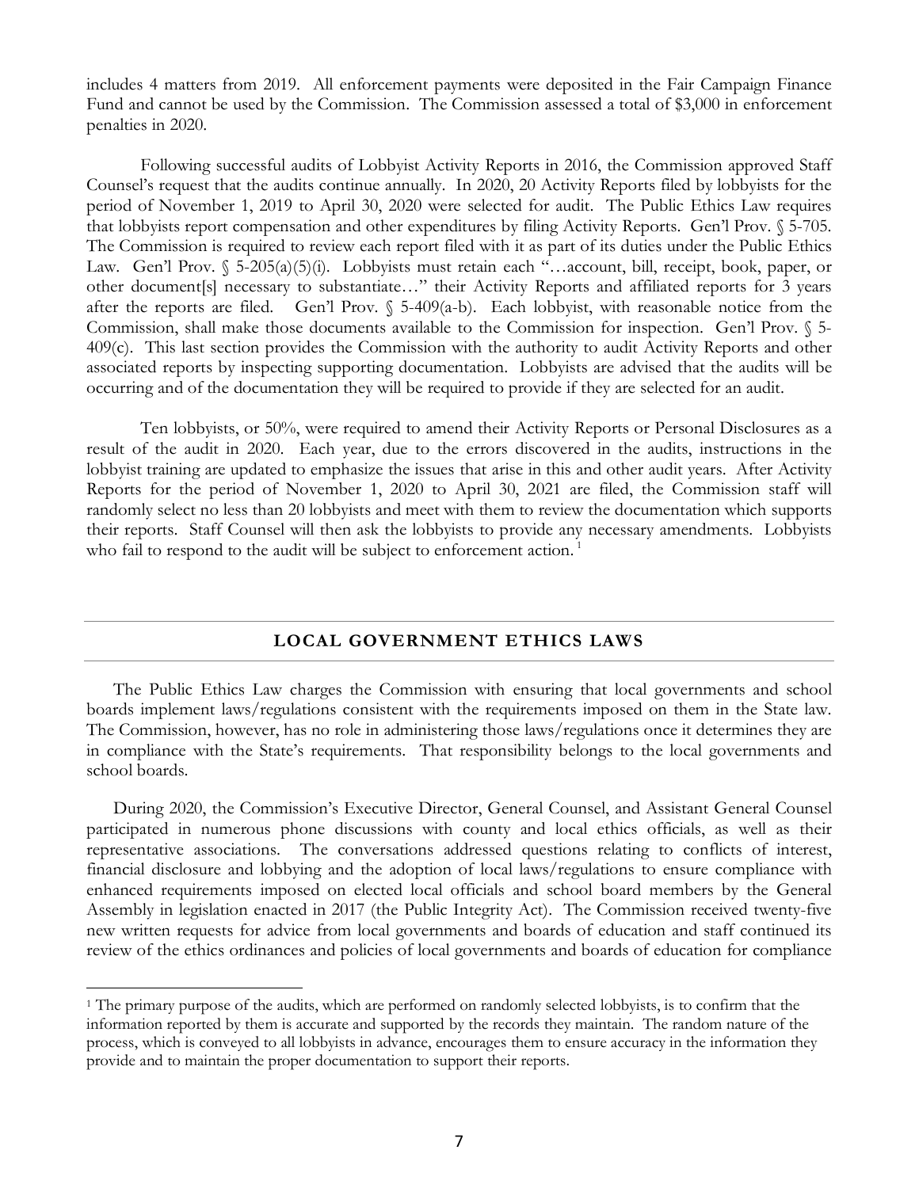includes 4 matters from 2019. All enforcement payments were deposited in the Fair Campaign Finance Fund and cannot be used by the Commission. The Commission assessed a total of \$3,000 in enforcement penalties in 2020.

Following successful audits of Lobbyist Activity Reports in 2016, the Commission approved Staff Counsel's request that the audits continue annually. In 2020, 20 Activity Reports filed by lobbyists for the period of November 1, 2019 to April 30, 2020 were selected for audit. The Public Ethics Law requires that lobbyists report compensation and other expenditures by filing Activity Reports. Gen'l Prov. § 5-705. The Commission is required to review each report filed with it as part of its duties under the Public Ethics Law. Gen'l Prov. § 5-205(a)(5)(i). Lobbyists must retain each "...account, bill, receipt, book, paper, or other document[s] necessary to substantiate…" their Activity Reports and affiliated reports for 3 years after the reports are filed. Gen'l Prov. § 5-409(a-b). Each lobbyist, with reasonable notice from the Commission, shall make those documents available to the Commission for inspection. Gen'l Prov. § 5- 409(c). This last section provides the Commission with the authority to audit Activity Reports and other associated reports by inspecting supporting documentation. Lobbyists are advised that the audits will be occurring and of the documentation they will be required to provide if they are selected for an audit.

Ten lobbyists, or 50%, were required to amend their Activity Reports or Personal Disclosures as a result of the audit in 2020. Each year, due to the errors discovered in the audits, instructions in the lobbyist training are updated to emphasize the issues that arise in this and other audit years. After Activity Reports for the period of November 1, 2020 to April 30, 2021 are filed, the Commission staff will randomly select no less than 20 lobbyists and meet with them to review the documentation which supports their reports. Staff Counsel will then ask the lobbyists to provide any necessary amendments. Lobbyists who fail to respond to the audit will be subject to enforcement action.<sup>[1](#page-7-0)</sup>

#### **LOCAL GOVERNMENT ETHICS LAWS**

The Public Ethics Law charges the Commission with ensuring that local governments and school boards implement laws/regulations consistent with the requirements imposed on them in the State law. The Commission, however, has no role in administering those laws/regulations once it determines they are in compliance with the State's requirements. That responsibility belongs to the local governments and school boards.

During 2020, the Commission's Executive Director, General Counsel, and Assistant General Counsel participated in numerous phone discussions with county and local ethics officials, as well as their representative associations. The conversations addressed questions relating to conflicts of interest, financial disclosure and lobbying and the adoption of local laws/regulations to ensure compliance with enhanced requirements imposed on elected local officials and school board members by the General Assembly in legislation enacted in 2017 (the Public Integrity Act). The Commission received twenty-five new written requests for advice from local governments and boards of education and staff continued its review of the ethics ordinances and policies of local governments and boards of education for compliance

<span id="page-7-0"></span> <sup>1</sup> The primary purpose of the audits, which are performed on randomly selected lobbyists, is to confirm that the information reported by them is accurate and supported by the records they maintain. The random nature of the process, which is conveyed to all lobbyists in advance, encourages them to ensure accuracy in the information they provide and to maintain the proper documentation to support their reports.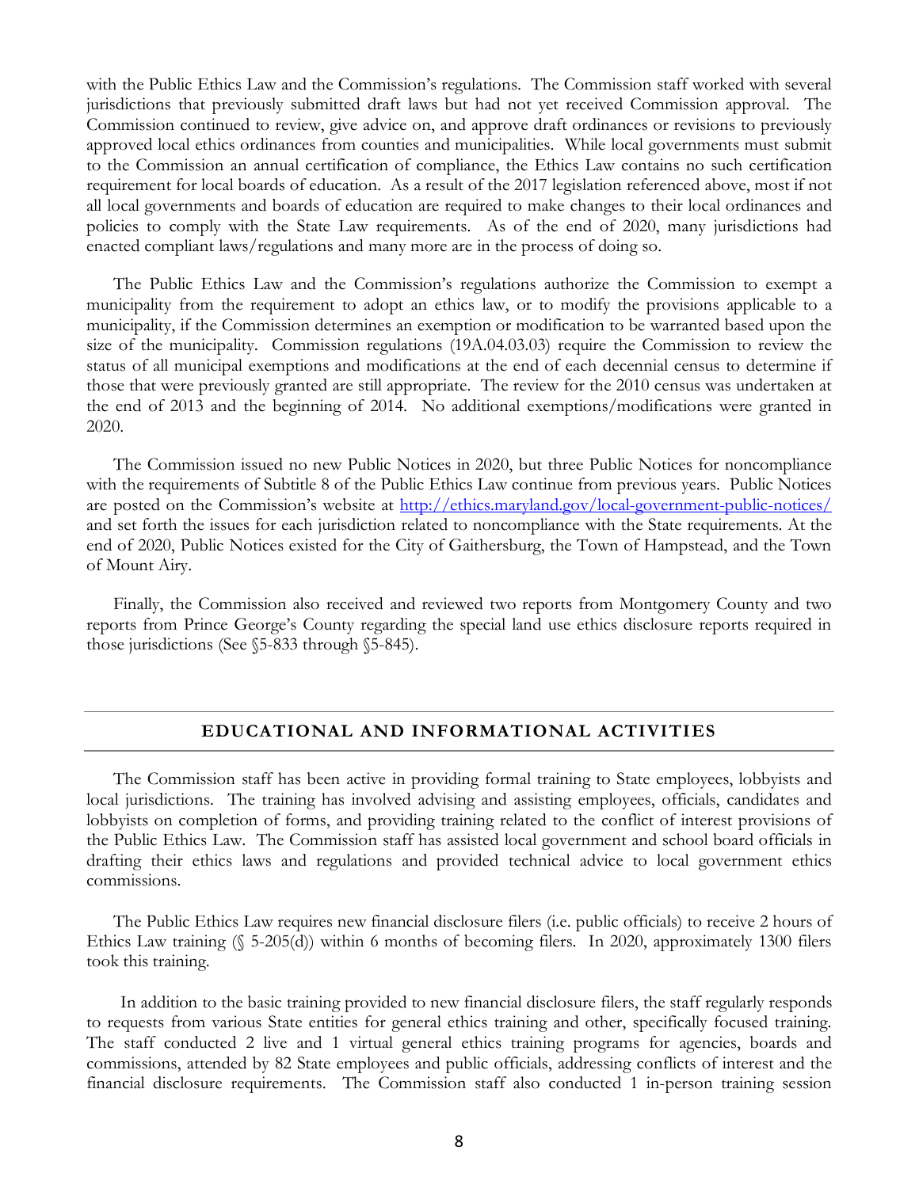with the Public Ethics Law and the Commission's regulations. The Commission staff worked with several jurisdictions that previously submitted draft laws but had not yet received Commission approval. The Commission continued to review, give advice on, and approve draft ordinances or revisions to previously approved local ethics ordinances from counties and municipalities. While local governments must submit to the Commission an annual certification of compliance, the Ethics Law contains no such certification requirement for local boards of education. As a result of the 2017 legislation referenced above, most if not all local governments and boards of education are required to make changes to their local ordinances and policies to comply with the State Law requirements. As of the end of 2020, many jurisdictions had enacted compliant laws/regulations and many more are in the process of doing so.

The Public Ethics Law and the Commission's regulations authorize the Commission to exempt a municipality from the requirement to adopt an ethics law, or to modify the provisions applicable to a municipality, if the Commission determines an exemption or modification to be warranted based upon the size of the municipality. Commission regulations (19A.04.03.03) require the Commission to review the status of all municipal exemptions and modifications at the end of each decennial census to determine if those that were previously granted are still appropriate. The review for the 2010 census was undertaken at the end of 2013 and the beginning of 2014. No additional exemptions/modifications were granted in 2020.

The Commission issued no new Public Notices in 2020, but three Public Notices for noncompliance with the requirements of Subtitle 8 of the Public Ethics Law continue from previous years. Public Notices are posted on the Commission's website at<http://ethics.maryland.gov/local-government-public-notices/> and set forth the issues for each jurisdiction related to noncompliance with the State requirements. At the end of 2020, Public Notices existed for the City of Gaithersburg, the Town of Hampstead, and the Town of Mount Airy.

Finally, the Commission also received and reviewed two reports from Montgomery County and two reports from Prince George's County regarding the special land use ethics disclosure reports required in those jurisdictions (See §5-833 through §5-845).

#### **EDUCATIONAL AND INFORMATIONAL ACTIVITIES**

The Commission staff has been active in providing formal training to State employees, lobbyists and local jurisdictions. The training has involved advising and assisting employees, officials, candidates and lobbyists on completion of forms, and providing training related to the conflict of interest provisions of the Public Ethics Law. The Commission staff has assisted local government and school board officials in drafting their ethics laws and regulations and provided technical advice to local government ethics commissions.

The Public Ethics Law requires new financial disclosure filers (i.e. public officials) to receive 2 hours of Ethics Law training  $(\S 5-205(d))$  within 6 months of becoming filers. In 2020, approximately 1300 filers took this training.

In addition to the basic training provided to new financial disclosure filers, the staff regularly responds to requests from various State entities for general ethics training and other, specifically focused training. The staff conducted 2 live and 1 virtual general ethics training programs for agencies, boards and commissions, attended by 82 State employees and public officials, addressing conflicts of interest and the financial disclosure requirements. The Commission staff also conducted 1 in-person training session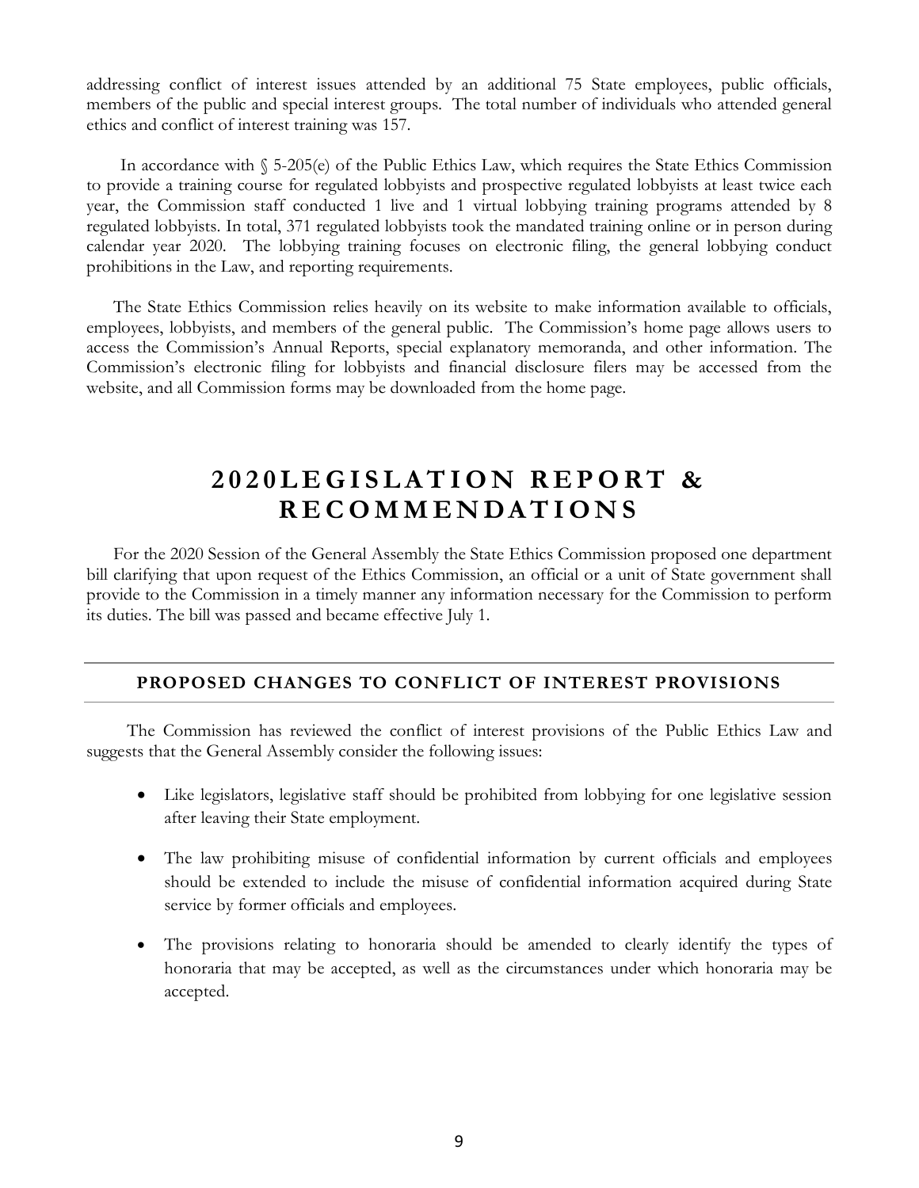addressing conflict of interest issues attended by an additional 75 State employees, public officials, members of the public and special interest groups. The total number of individuals who attended general ethics and conflict of interest training was 157.

In accordance with § 5-205(e) of the Public Ethics Law, which requires the State Ethics Commission to provide a training course for regulated lobbyists and prospective regulated lobbyists at least twice each year, the Commission staff conducted 1 live and 1 virtual lobbying training programs attended by 8 regulated lobbyists. In total, 371 regulated lobbyists took the mandated training online or in person during calendar year 2020. The lobbying training focuses on electronic filing, the general lobbying conduct prohibitions in the Law, and reporting requirements.

The State Ethics Commission relies heavily on its website to make information available to officials, employees, lobbyists, and members of the general public. The Commission's home page allows users to access the Commission's Annual Reports, special explanatory memoranda, and other information. The Commission's electronic filing for lobbyists and financial disclosure filers may be accessed from the website, and all Commission forms may be downloaded from the home page.

## **2 0 2 0LEGISLATION REPORT & RECOMMENDAT I ONS**

For the 2020 Session of the General Assembly the State Ethics Commission proposed one department bill clarifying that upon request of the Ethics Commission, an official or a unit of State government shall provide to the Commission in a timely manner any information necessary for the Commission to perform its duties. The bill was passed and became effective July 1.

#### **PROPOSED CHANGES TO CONFLICT OF INTEREST PROVISIONS**

The Commission has reviewed the conflict of interest provisions of the Public Ethics Law and suggests that the General Assembly consider the following issues:

- Like legislators, legislative staff should be prohibited from lobbying for one legislative session after leaving their State employment.
- The law prohibiting misuse of confidential information by current officials and employees should be extended to include the misuse of confidential information acquired during State service by former officials and employees.
- The provisions relating to honoraria should be amended to clearly identify the types of honoraria that may be accepted, as well as the circumstances under which honoraria may be accepted.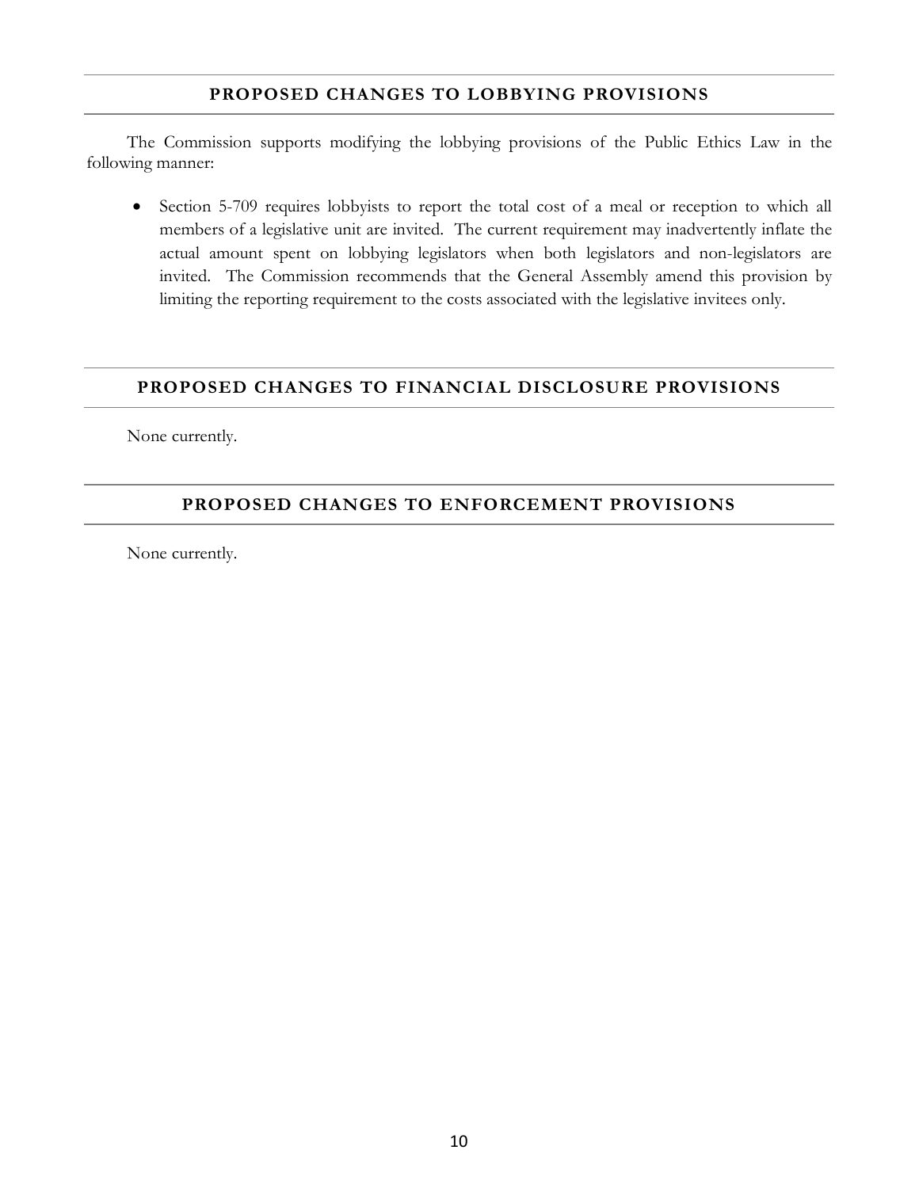#### **PROPOSED CHANGES TO LOBBYING PROVISIONS**

The Commission supports modifying the lobbying provisions of the Public Ethics Law in the following manner:

• Section 5-709 requires lobbyists to report the total cost of a meal or reception to which all members of a legislative unit are invited. The current requirement may inadvertently inflate the actual amount spent on lobbying legislators when both legislators and non-legislators are invited. The Commission recommends that the General Assembly amend this provision by limiting the reporting requirement to the costs associated with the legislative invitees only.

#### **PROPOSED CHANGES TO FINANCIAL DISCLOSURE PROVISIONS**

None currently.

#### **PROPOSED CHANGES TO ENFORCEMENT PROVISIONS**

None currently.